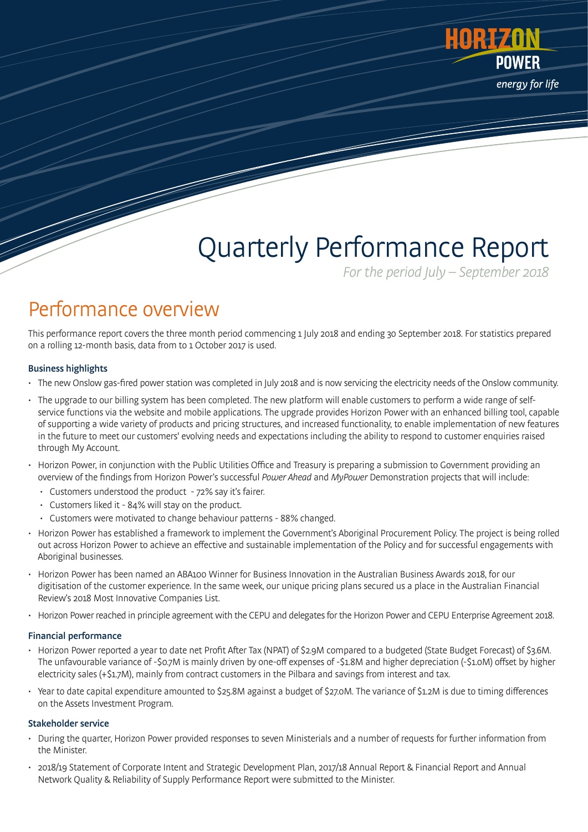

# Quarterly Performance Report

For the period July – September 2018

### Performance overview

This performance report covers the three month period commencing 1 July 2018 and ending 30 September 2018. For statistics prepared on a rolling 12-month basis, data from to 1 October 2017 is used.

#### Business highlights

- The new Onslow gas-fired power station was completed in July 2018 and is now servicing the electricity needs of the Onslow community.
- The upgrade to our billing system has been completed. The new platform will enable customers to perform a wide range of selfservice functions via the website and mobile applications. The upgrade provides Horizon Power with an enhanced billing tool, capable of supporting a wide variety of products and pricing structures, and increased functionality, to enable implementation of new features in the future to meet our customers' evolving needs and expectations including the ability to respond to customer enquiries raised through My Account.
- Horizon Power, in conjunction with the Public Utilities Office and Treasury is preparing a submission to Government providing an overview of the findings from Horizon Power's successful Power Ahead and MyPower Demonstration projects that will include:
	- Customers understood the product 72% say it's fairer.
	- Customers liked it 84% will stay on the product.
	- Customers were motivated to change behaviour patterns 88% changed.
- Horizon Power has established a framework to implement the Government's Aboriginal Procurement Policy. The project is being rolled out across Horizon Power to achieve an effective and sustainable implementation of the Policy and for successful engagements with Aboriginal businesses.
- Horizon Power has been named an ABA100 Winner for Business Innovation in the Australian Business Awards 2018, for our digitisation of the customer experience. In the same week, our unique pricing plans secured us a place in the Australian Financial Review's 2018 Most Innovative Companies List.
- Horizon Power reached in principle agreement with the CEPU and delegates for the Horizon Power and CEPU Enterprise Agreement 2018.

#### Financial performance

- Horizon Power reported a year to date net Profit After Tax (NPAT) of \$2.9M compared to a budgeted (State Budget Forecast) of \$3.6M. The unfavourable variance of -\$0.7M is mainly driven by one-off expenses of -\$1.8M and higher depreciation (-\$1.0M) offset by higher electricity sales (+\$1.7M), mainly from contract customers in the Pilbara and savings from interest and tax.
- Year to date capital expenditure amounted to \$25.8M against a budget of \$27.0M. The variance of \$1.2M is due to timing differences on the Assets Investment Program.

#### Stakeholder service

- During the quarter, Horizon Power provided responses to seven Ministerials and a number of requests for further information from the Minister.
- 2018/19 Statement of Corporate Intent and Strategic Development Plan, 2017/18 Annual Report & Financial Report and Annual Network Quality & Reliability of Supply Performance Report were submitted to the Minister.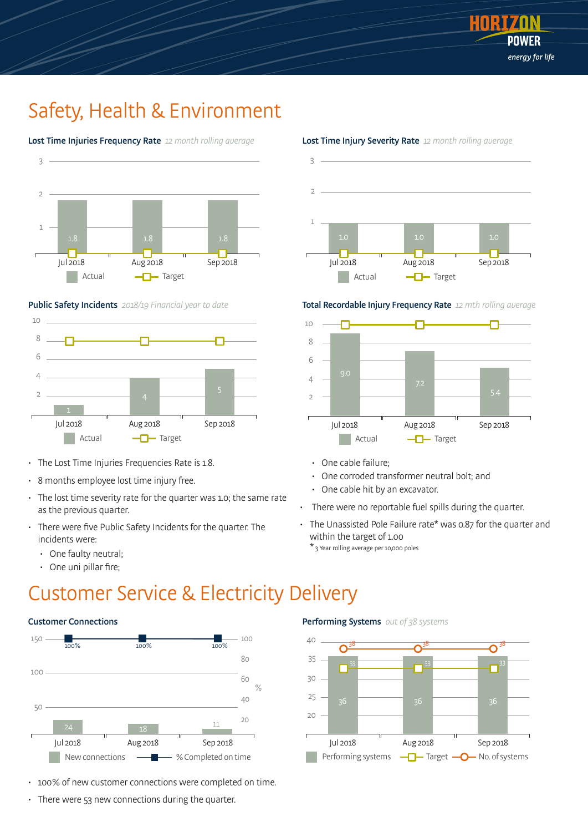

### Safety, Health & Environment



#### Lost Time Injuries Frequency Rate 12 month rolling average

#### Public Safety Incidents 2018/19 Financial year to date



- The Lost Time Injuries Frequencies Rate is 1.8.
- 8 months employee lost time injury free.
- The lost time severity rate for the quarter was 1.0; the same rate as the previous quarter.
- There were five Public Safety Incidents for the quarter. The incidents were:
	- One faulty neutral;
	- One uni pillar fire;

### Customer Service & Electricity Delivery

#### Customer Connections



- 100% of new customer connections were completed on time.
- There were 53 new connections during the quarter.



#### Lost Time Injury Severity Rate 12 month rolling average





- One cable failure;
- One corroded transformer neutral bolt; and
- One cable hit by an excavator.
- There were no reportable fuel spills during the quarter.
- The Unassisted Pole Failure rate\* was 0.87 for the quarter and within the target of 1.00

\* 3 Year rolling average per 10,000 poles

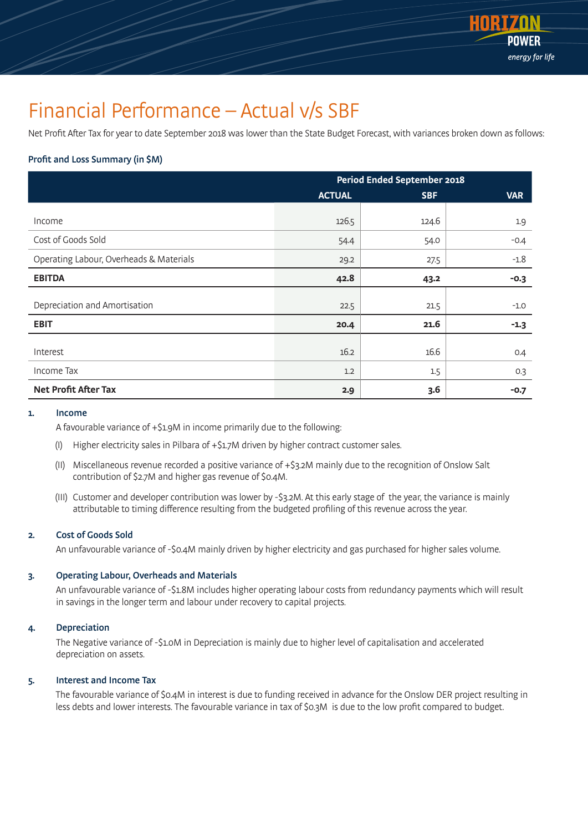

### Financial Performance – Actual v/s SBF

Net Profit After Tax for year to date September 2018 was lower than the State Budget Forecast, with variances broken down as follows:

### Profit and Loss Summary (in \$M)

|                                         | <b>Period Ended September 2018</b> |            |            |
|-----------------------------------------|------------------------------------|------------|------------|
|                                         | <b>ACTUAL</b>                      | <b>SBF</b> | <b>VAR</b> |
|                                         |                                    |            |            |
| Income                                  | 126.5                              | 124.6      | 1.9        |
| Cost of Goods Sold                      | 54.4                               | 54.0       | $-0.4$     |
| Operating Labour, Overheads & Materials | 29.2                               | 27.5       | $-1.8$     |
| <b>EBITDA</b>                           | 42.8                               | 43.2       | $-0.3$     |
| Depreciation and Amortisation           | 22.5                               | 21.5       | $-1.0$     |
| <b>EBIT</b>                             | 20.4                               | 21.6       | $-1.3$     |
|                                         |                                    |            |            |
| Interest                                | 16.2                               | 16.6       | 0.4        |
| Income Tax                              | 1.2                                | 1.5        | 0.3        |
| <b>Net Profit After Tax</b>             | 2.9                                | 3.6        | $-0.7$     |

#### 1. Income

A favourable variance of +\$1.9M in income primarily due to the following:

- (I) Higher electricity sales in Pilbara of +\$1.7M driven by higher contract customer sales.
- (II) Miscellaneous revenue recorded a positive variance of +\$3.2M mainly due to the recognition of Onslow Salt contribution of \$2.7M and higher gas revenue of \$0.4M.
- (III) Customer and developer contribution was lower by -\$3.2M. At this early stage of the year, the variance is mainly attributable to timing difference resulting from the budgeted profiling of this revenue across the year.

#### 2. Cost of Goods Sold

An unfavourable variance of -\$0.4M mainly driven by higher electricity and gas purchased for higher sales volume.

#### 3. Operating Labour, Overheads and Materials

An unfavourable variance of -\$1.8M includes higher operating labour costs from redundancy payments which will result in savings in the longer term and labour under recovery to capital projects.

#### 4. Depreciation

 The Negative variance of -\$1.0M in Depreciation is mainly due to higher level of capitalisation and accelerated depreciation on assets.

#### 5. Interest and Income Tax

The favourable variance of \$0.4M in interest is due to funding received in advance for the Onslow DER project resulting in less debts and lower interests. The favourable variance in tax of \$0.3M is due to the low profit compared to budget.